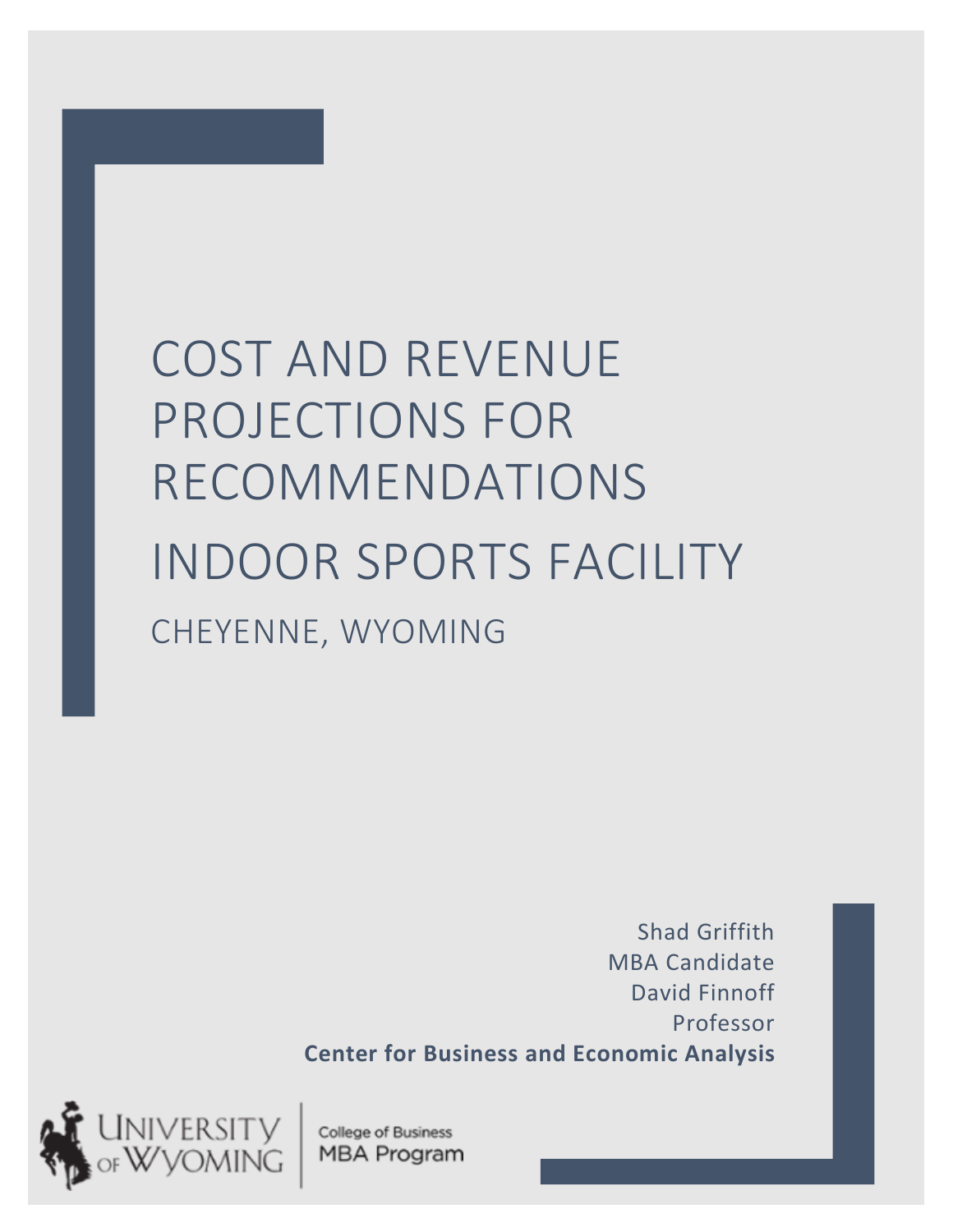# COST AND REVENUE PROJECTIONS FOR RECOMMENDATIONS INDOOR SPORTS FACILITY CHEYENNE, WYOMING

Shad Griffith MBA Candidate David Finnoff Professor **Center for Business and Economic Analysis**



College of Business MBA Program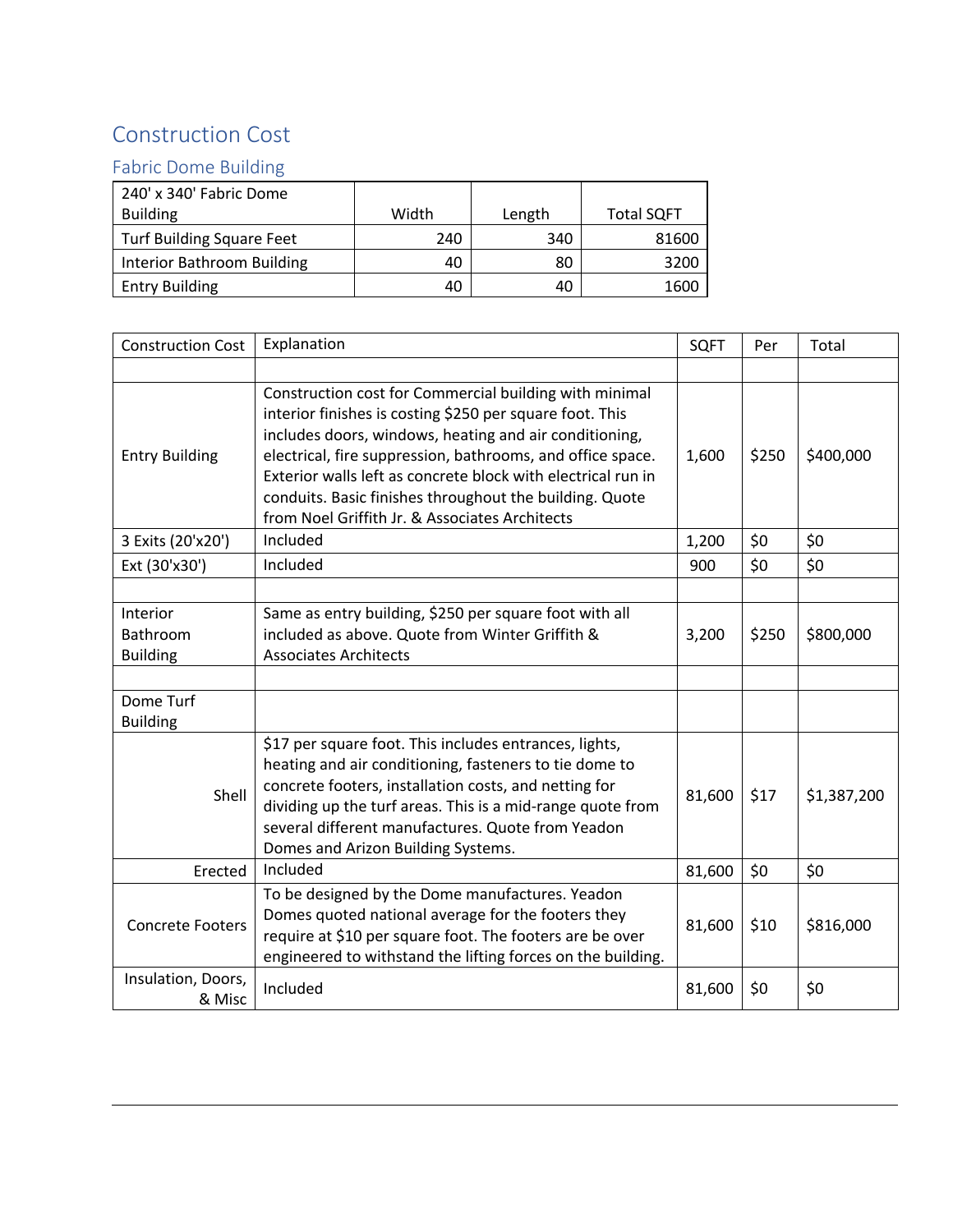## Construction Cost

### Fabric Dome Building

| 240' x 340' Fabric Dome           |       |        |                   |
|-----------------------------------|-------|--------|-------------------|
| <b>Building</b>                   | Width | Length | <b>Total SQFT</b> |
| <b>Turf Building Square Feet</b>  | 240   | 340    | 81600             |
| <b>Interior Bathroom Building</b> | 40    | 80     | 3200              |
| <b>Entry Building</b>             | 40    | 40     | 1600              |

| <b>Construction Cost</b>                | Explanation                                                                                                                                                                                                                                                                                                                                                                                                             | <b>SQFT</b> | Per   | Total       |
|-----------------------------------------|-------------------------------------------------------------------------------------------------------------------------------------------------------------------------------------------------------------------------------------------------------------------------------------------------------------------------------------------------------------------------------------------------------------------------|-------------|-------|-------------|
|                                         |                                                                                                                                                                                                                                                                                                                                                                                                                         |             |       |             |
| <b>Entry Building</b>                   | Construction cost for Commercial building with minimal<br>interior finishes is costing \$250 per square foot. This<br>includes doors, windows, heating and air conditioning,<br>electrical, fire suppression, bathrooms, and office space.<br>Exterior walls left as concrete block with electrical run in<br>conduits. Basic finishes throughout the building. Quote<br>from Noel Griffith Jr. & Associates Architects | 1,600       | \$250 | \$400,000   |
| 3 Exits (20'x20')                       | Included                                                                                                                                                                                                                                                                                                                                                                                                                | 1,200       | \$0   | \$0         |
| Ext (30'x30')                           | Included                                                                                                                                                                                                                                                                                                                                                                                                                | 900         | \$0   | \$0         |
|                                         |                                                                                                                                                                                                                                                                                                                                                                                                                         |             |       |             |
| Interior<br>Bathroom<br><b>Building</b> | Same as entry building, \$250 per square foot with all<br>included as above. Quote from Winter Griffith &<br><b>Associates Architects</b>                                                                                                                                                                                                                                                                               | 3,200       | \$250 | \$800,000   |
|                                         |                                                                                                                                                                                                                                                                                                                                                                                                                         |             |       |             |
| Dome Turf<br><b>Building</b>            |                                                                                                                                                                                                                                                                                                                                                                                                                         |             |       |             |
| Shell                                   | \$17 per square foot. This includes entrances, lights,<br>heating and air conditioning, fasteners to tie dome to<br>concrete footers, installation costs, and netting for<br>dividing up the turf areas. This is a mid-range quote from<br>several different manufactures. Quote from Yeadon<br>Domes and Arizon Building Systems.                                                                                      | 81,600      | \$17  | \$1,387,200 |
| Erected                                 | Included                                                                                                                                                                                                                                                                                                                                                                                                                | 81,600      | \$0   | \$0         |
| <b>Concrete Footers</b>                 | To be designed by the Dome manufactures. Yeadon<br>Domes quoted national average for the footers they<br>require at \$10 per square foot. The footers are be over<br>engineered to withstand the lifting forces on the building.                                                                                                                                                                                        | 81,600      | \$10  | \$816,000   |
| Insulation, Doors,<br>& Misc            | Included                                                                                                                                                                                                                                                                                                                                                                                                                | 81,600      | \$0   | \$0         |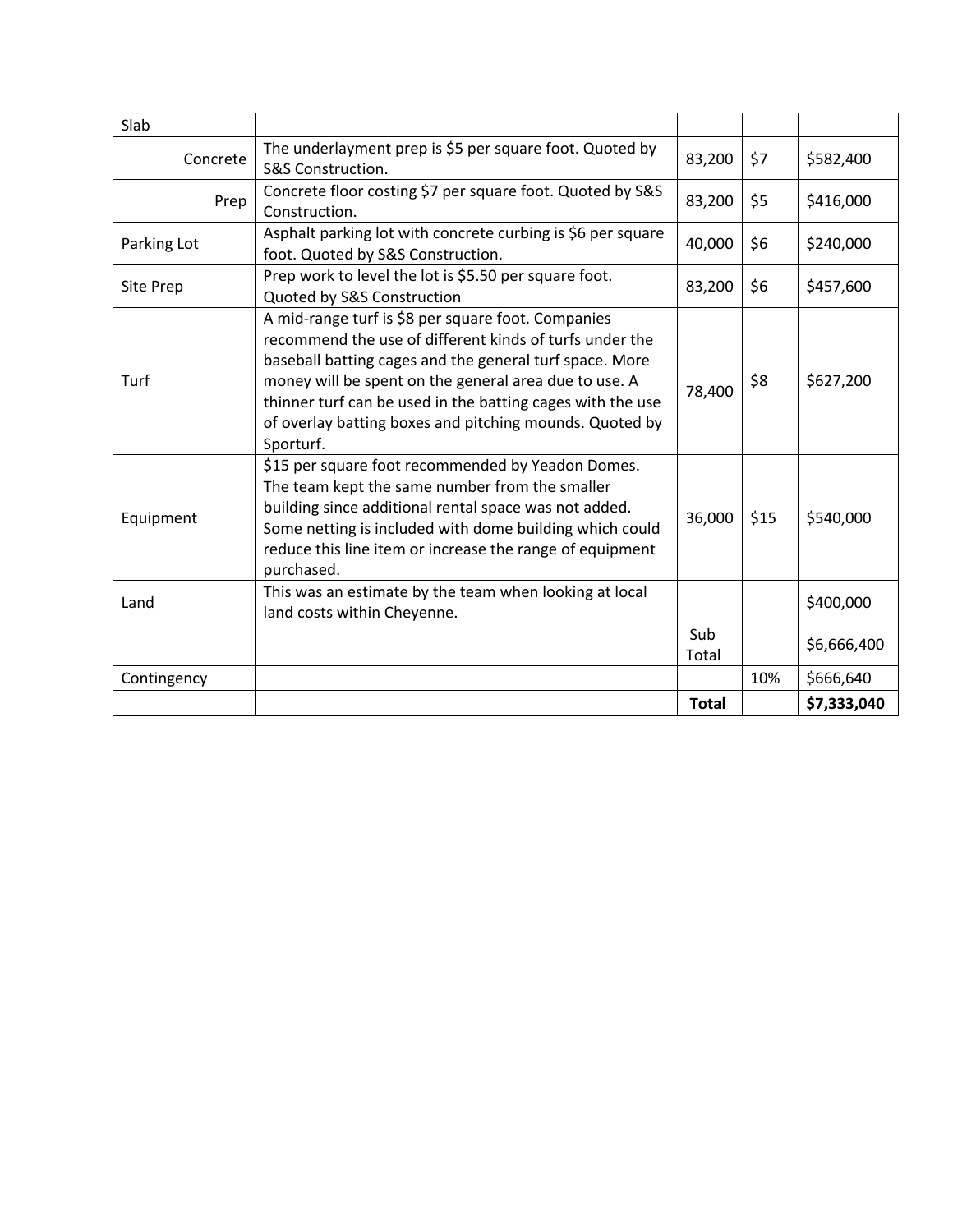| Slab        |                                                                                                                                                                                                                                                                                                                                                                         |              |      |             |
|-------------|-------------------------------------------------------------------------------------------------------------------------------------------------------------------------------------------------------------------------------------------------------------------------------------------------------------------------------------------------------------------------|--------------|------|-------------|
| Concrete    | The underlayment prep is \$5 per square foot. Quoted by<br>S&S Construction.                                                                                                                                                                                                                                                                                            |              | \$7  | \$582,400   |
| Prep        | Concrete floor costing \$7 per square foot. Quoted by S&S<br>Construction.                                                                                                                                                                                                                                                                                              | 83,200       | \$5  | \$416,000   |
| Parking Lot | Asphalt parking lot with concrete curbing is \$6 per square<br>foot. Quoted by S&S Construction.                                                                                                                                                                                                                                                                        | 40,000       | \$6  | \$240,000   |
| Site Prep   | Prep work to level the lot is \$5.50 per square foot.<br>Quoted by S&S Construction                                                                                                                                                                                                                                                                                     | 83,200       | \$6  | \$457,600   |
| <b>Turf</b> | A mid-range turf is \$8 per square foot. Companies<br>recommend the use of different kinds of turfs under the<br>baseball batting cages and the general turf space. More<br>money will be spent on the general area due to use. A<br>thinner turf can be used in the batting cages with the use<br>of overlay batting boxes and pitching mounds. Quoted by<br>Sporturf. | 78,400       | \$8  | \$627,200   |
| Equipment   | \$15 per square foot recommended by Yeadon Domes.<br>The team kept the same number from the smaller<br>building since additional rental space was not added.<br>Some netting is included with dome building which could<br>reduce this line item or increase the range of equipment<br>purchased.                                                                       | 36,000       | \$15 | \$540,000   |
| Land        | This was an estimate by the team when looking at local<br>land costs within Cheyenne.                                                                                                                                                                                                                                                                                   |              |      | \$400,000   |
|             |                                                                                                                                                                                                                                                                                                                                                                         | Sub<br>Total |      | \$6,666,400 |
| Contingency |                                                                                                                                                                                                                                                                                                                                                                         |              | 10%  | \$666,640   |
|             |                                                                                                                                                                                                                                                                                                                                                                         | <b>Total</b> |      | \$7,333,040 |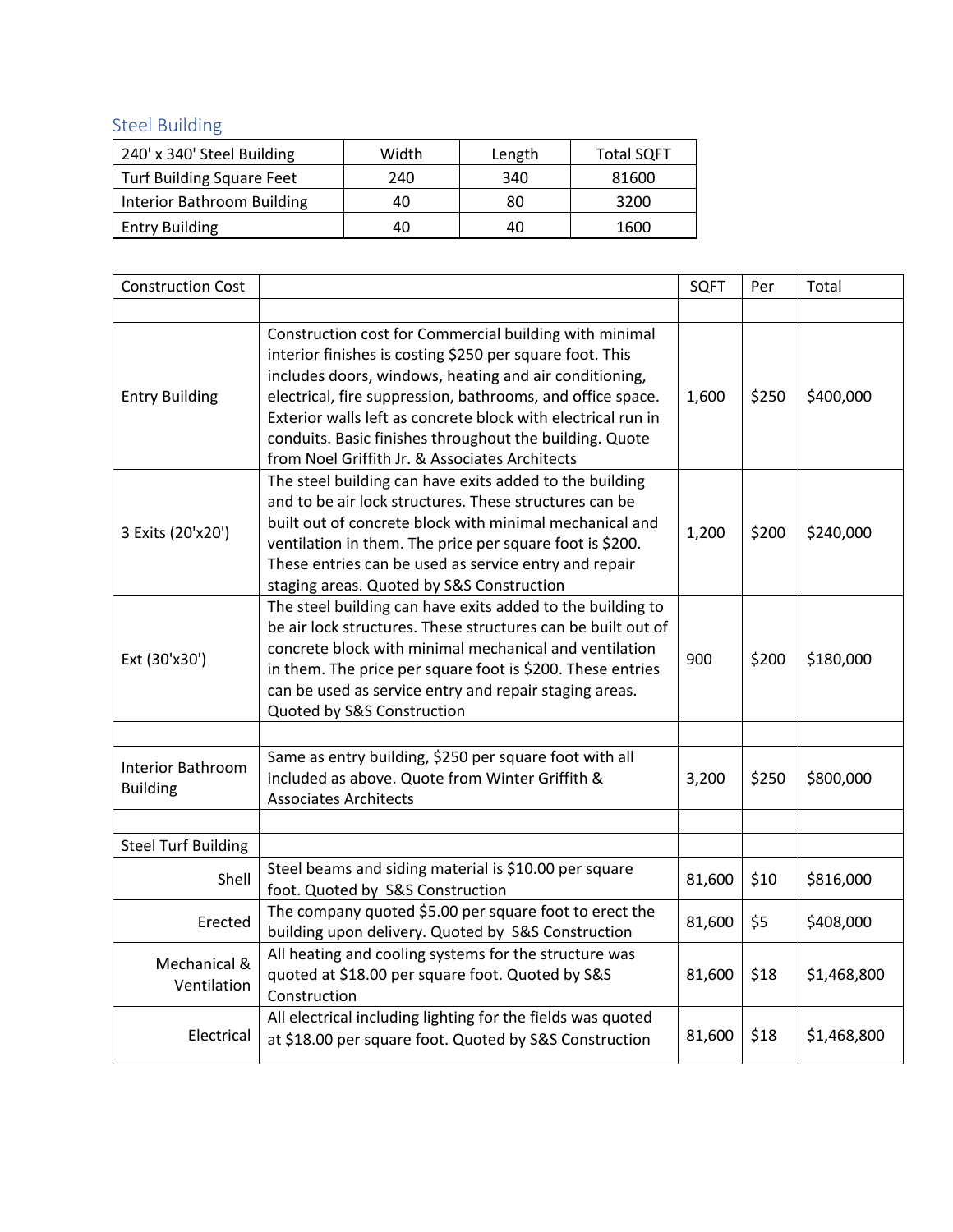Steel Building

| 240' x 340' Steel Building        | Width | Length | <b>Total SQFT</b> |
|-----------------------------------|-------|--------|-------------------|
| <b>Turf Building Square Feet</b>  | 240   | 340    | 81600             |
| <b>Interior Bathroom Building</b> | 40    | 80     | 3200              |
| <b>Entry Building</b>             | 40    | 40     | 1600              |

| <b>Construction Cost</b>                    |                                                                                                                                                                                                                                                                                                                                                                                                                         | <b>SQFT</b> | Per   | Total       |
|---------------------------------------------|-------------------------------------------------------------------------------------------------------------------------------------------------------------------------------------------------------------------------------------------------------------------------------------------------------------------------------------------------------------------------------------------------------------------------|-------------|-------|-------------|
|                                             |                                                                                                                                                                                                                                                                                                                                                                                                                         |             |       |             |
| <b>Entry Building</b>                       | Construction cost for Commercial building with minimal<br>interior finishes is costing \$250 per square foot. This<br>includes doors, windows, heating and air conditioning,<br>electrical, fire suppression, bathrooms, and office space.<br>Exterior walls left as concrete block with electrical run in<br>conduits. Basic finishes throughout the building. Quote<br>from Noel Griffith Jr. & Associates Architects | 1,600       | \$250 | \$400,000   |
| 3 Exits (20'x20')                           | The steel building can have exits added to the building<br>and to be air lock structures. These structures can be<br>built out of concrete block with minimal mechanical and<br>ventilation in them. The price per square foot is \$200.<br>These entries can be used as service entry and repair<br>staging areas. Quoted by S&S Construction                                                                          | 1,200       | \$200 | \$240,000   |
| Ext (30'x30')                               | The steel building can have exits added to the building to<br>be air lock structures. These structures can be built out of<br>concrete block with minimal mechanical and ventilation<br>in them. The price per square foot is \$200. These entries<br>can be used as service entry and repair staging areas.<br>Quoted by S&S Construction                                                                              | 900         | \$200 | \$180,000   |
|                                             |                                                                                                                                                                                                                                                                                                                                                                                                                         |             |       |             |
| <b>Interior Bathroom</b><br><b>Building</b> | Same as entry building, \$250 per square foot with all<br>included as above. Quote from Winter Griffith &<br><b>Associates Architects</b>                                                                                                                                                                                                                                                                               | 3,200       | \$250 | \$800,000   |
|                                             |                                                                                                                                                                                                                                                                                                                                                                                                                         |             |       |             |
| <b>Steel Turf Building</b>                  |                                                                                                                                                                                                                                                                                                                                                                                                                         |             |       |             |
| Shell                                       | Steel beams and siding material is \$10.00 per square<br>foot. Quoted by S&S Construction                                                                                                                                                                                                                                                                                                                               | 81,600      | \$10  | \$816,000   |
| Erected                                     | The company quoted \$5.00 per square foot to erect the<br>building upon delivery. Quoted by S&S Construction                                                                                                                                                                                                                                                                                                            | 81,600      | \$5   | \$408,000   |
| Mechanical &<br>Ventilation                 | All heating and cooling systems for the structure was<br>quoted at \$18.00 per square foot. Quoted by S&S<br>Construction                                                                                                                                                                                                                                                                                               | 81,600      | \$18  | \$1,468,800 |
| Electrical                                  | All electrical including lighting for the fields was quoted<br>at \$18.00 per square foot. Quoted by S&S Construction                                                                                                                                                                                                                                                                                                   | 81,600      | \$18  | \$1,468,800 |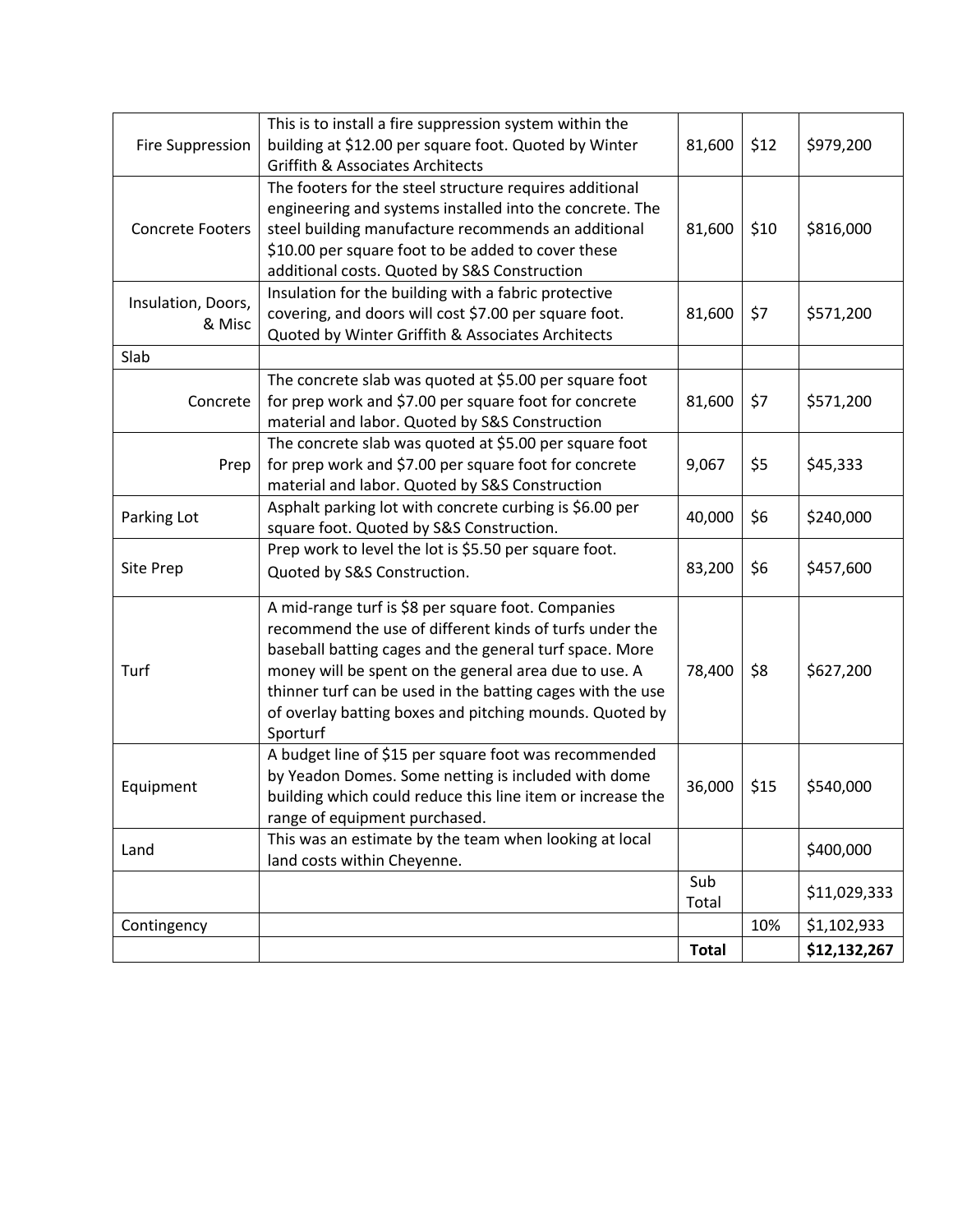| <b>Fire Suppression</b>      | This is to install a fire suppression system within the<br>building at \$12.00 per square foot. Quoted by Winter<br><b>Griffith &amp; Associates Architects</b>                                                                                                                                                                                                        | 81,600       | \$12 | \$979,200    |
|------------------------------|------------------------------------------------------------------------------------------------------------------------------------------------------------------------------------------------------------------------------------------------------------------------------------------------------------------------------------------------------------------------|--------------|------|--------------|
| <b>Concrete Footers</b>      | The footers for the steel structure requires additional<br>engineering and systems installed into the concrete. The<br>steel building manufacture recommends an additional<br>\$10.00 per square foot to be added to cover these<br>additional costs. Quoted by S&S Construction                                                                                       | 81,600       | \$10 | \$816,000    |
| Insulation, Doors,<br>& Misc | Insulation for the building with a fabric protective<br>covering, and doors will cost \$7.00 per square foot.<br>Quoted by Winter Griffith & Associates Architects                                                                                                                                                                                                     | 81,600       | \$7  | \$571,200    |
| Slab                         |                                                                                                                                                                                                                                                                                                                                                                        |              |      |              |
| Concrete                     | The concrete slab was quoted at \$5.00 per square foot<br>for prep work and \$7.00 per square foot for concrete<br>material and labor. Quoted by S&S Construction                                                                                                                                                                                                      | 81,600       | \$7  | \$571,200    |
| Prep                         | The concrete slab was quoted at \$5.00 per square foot<br>for prep work and \$7.00 per square foot for concrete<br>material and labor. Quoted by S&S Construction                                                                                                                                                                                                      | 9,067        | \$5  | \$45,333     |
| Parking Lot                  | Asphalt parking lot with concrete curbing is \$6.00 per<br>square foot. Quoted by S&S Construction.                                                                                                                                                                                                                                                                    | 40,000       | \$6  | \$240,000    |
| Site Prep                    | Prep work to level the lot is \$5.50 per square foot.<br>Quoted by S&S Construction.                                                                                                                                                                                                                                                                                   | 83,200       | \$6  | \$457,600    |
| Turf                         | A mid-range turf is \$8 per square foot. Companies<br>recommend the use of different kinds of turfs under the<br>baseball batting cages and the general turf space. More<br>money will be spent on the general area due to use. A<br>thinner turf can be used in the batting cages with the use<br>of overlay batting boxes and pitching mounds. Quoted by<br>Sporturf | 78,400       | \$8  | \$627,200    |
| Equipment                    | A budget line of \$15 per square foot was recommended<br>by Yeadon Domes. Some netting is included with dome<br>building which could reduce this line item or increase the<br>range of equipment purchased.                                                                                                                                                            | 36,000       | \$15 | \$540,000    |
| Land                         | This was an estimate by the team when looking at local<br>land costs within Cheyenne.                                                                                                                                                                                                                                                                                  |              |      | \$400,000    |
|                              |                                                                                                                                                                                                                                                                                                                                                                        | Sub<br>Total |      | \$11,029,333 |
| Contingency                  |                                                                                                                                                                                                                                                                                                                                                                        |              | 10%  | \$1,102,933  |
|                              |                                                                                                                                                                                                                                                                                                                                                                        | <b>Total</b> |      | \$12,132,267 |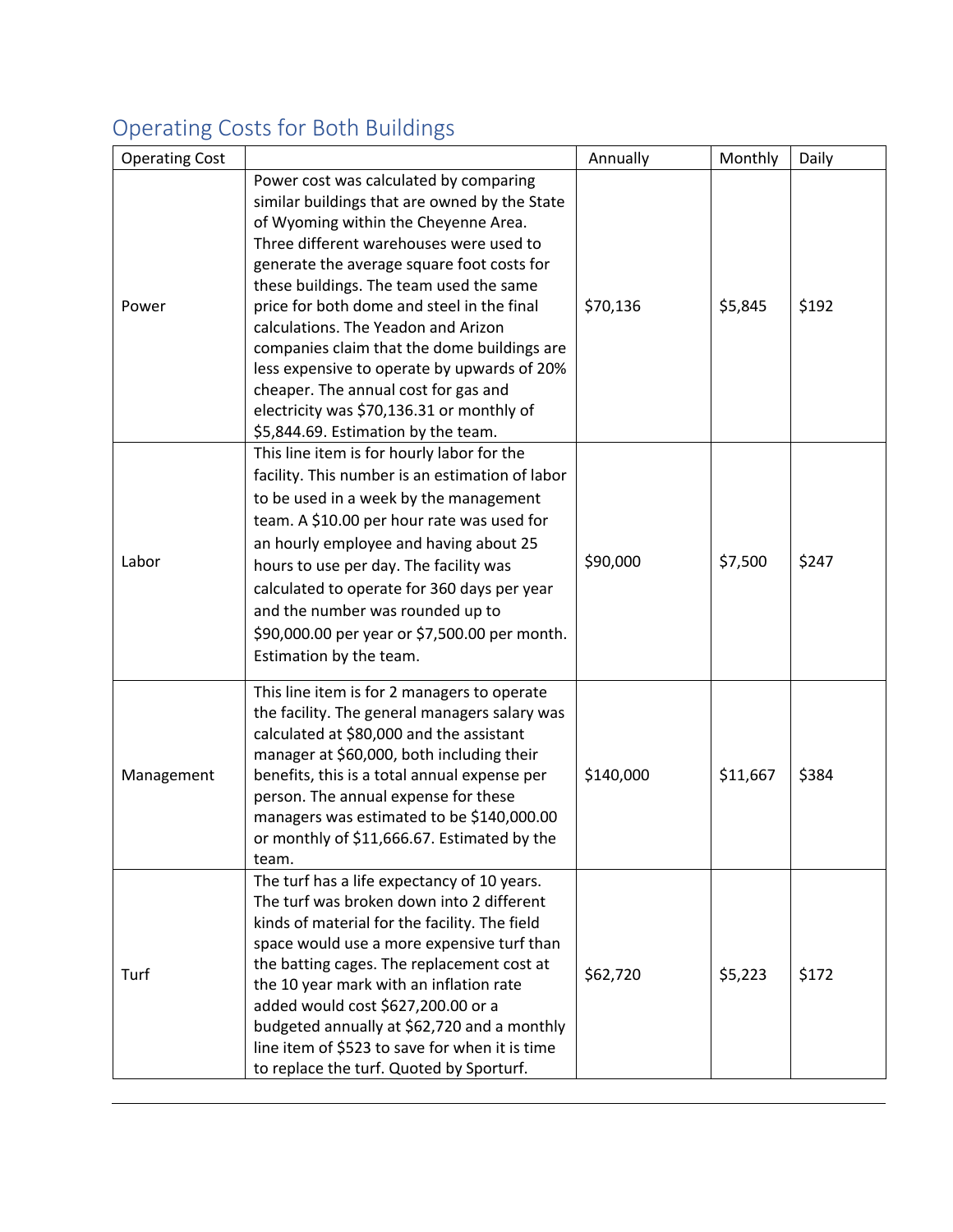# Operating Costs for Both Buildings

| <b>Operating Cost</b> |                                                                                                                                                                                                                                                                                                                                                                                                                                                                                                                                                                                    | Annually  | Monthly  | Daily |
|-----------------------|------------------------------------------------------------------------------------------------------------------------------------------------------------------------------------------------------------------------------------------------------------------------------------------------------------------------------------------------------------------------------------------------------------------------------------------------------------------------------------------------------------------------------------------------------------------------------------|-----------|----------|-------|
| Power                 | Power cost was calculated by comparing<br>similar buildings that are owned by the State<br>of Wyoming within the Cheyenne Area.<br>Three different warehouses were used to<br>generate the average square foot costs for<br>these buildings. The team used the same<br>price for both dome and steel in the final<br>calculations. The Yeadon and Arizon<br>companies claim that the dome buildings are<br>less expensive to operate by upwards of 20%<br>cheaper. The annual cost for gas and<br>electricity was \$70,136.31 or monthly of<br>\$5,844.69. Estimation by the team. | \$70,136  | \$5,845  | \$192 |
| Labor                 | This line item is for hourly labor for the<br>facility. This number is an estimation of labor<br>to be used in a week by the management<br>team. A \$10.00 per hour rate was used for<br>an hourly employee and having about 25<br>hours to use per day. The facility was<br>calculated to operate for 360 days per year<br>and the number was rounded up to<br>\$90,000.00 per year or \$7,500.00 per month.<br>Estimation by the team.                                                                                                                                           | \$90,000  | \$7,500  | \$247 |
| Management            | This line item is for 2 managers to operate<br>the facility. The general managers salary was<br>calculated at \$80,000 and the assistant<br>manager at \$60,000, both including their<br>benefits, this is a total annual expense per<br>person. The annual expense for these<br>managers was estimated to be \$140,000.00<br>or monthly of \$11,666.67. Estimated by the<br>team.                                                                                                                                                                                                 | \$140,000 | \$11,667 | \$384 |
| Turf                  | The turf has a life expectancy of 10 years.<br>The turf was broken down into 2 different<br>kinds of material for the facility. The field<br>space would use a more expensive turf than<br>the batting cages. The replacement cost at<br>the 10 year mark with an inflation rate<br>added would cost \$627,200.00 or a<br>budgeted annually at \$62,720 and a monthly<br>line item of \$523 to save for when it is time<br>to replace the turf. Quoted by Sporturf.                                                                                                                | \$62,720  | \$5,223  | \$172 |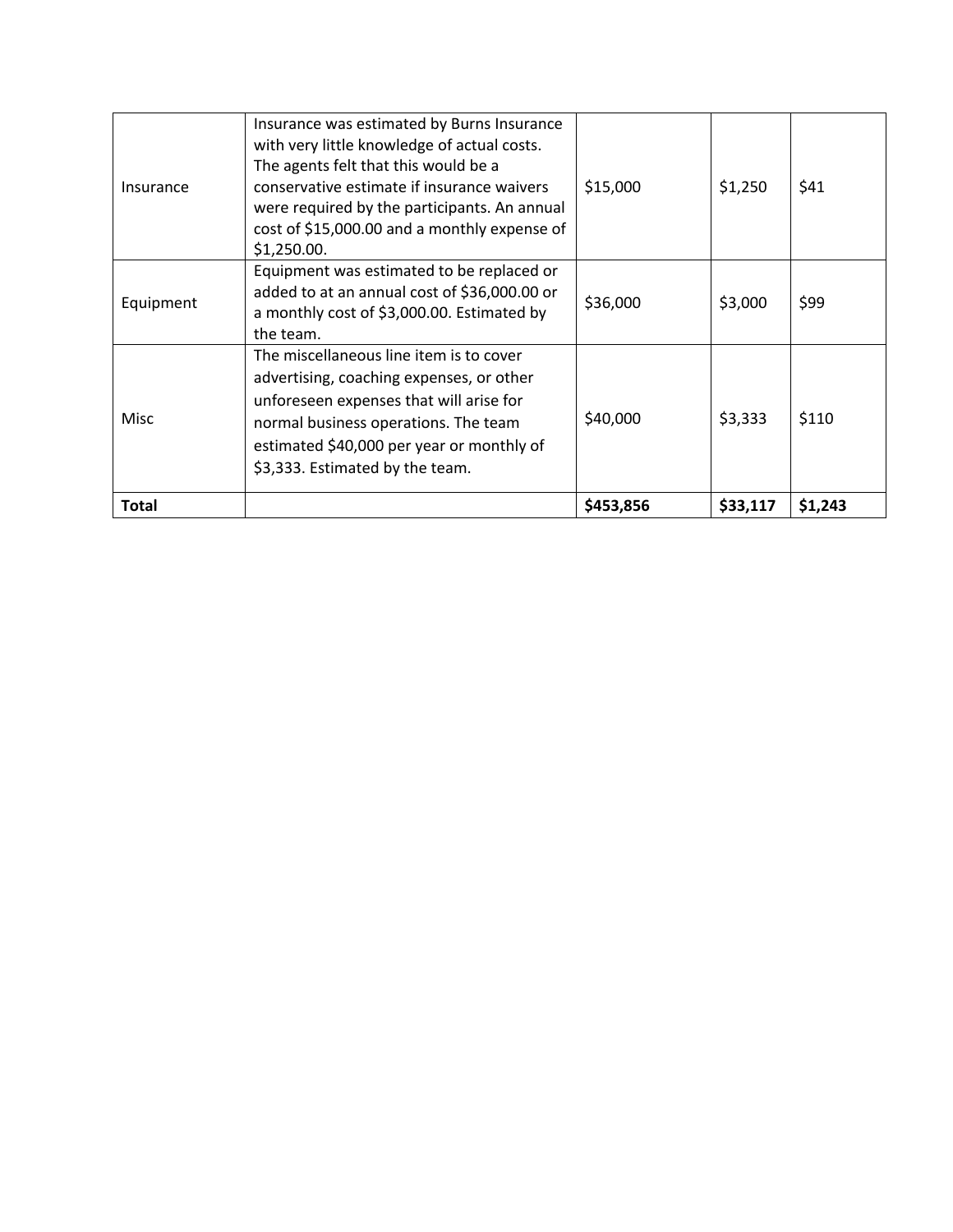| Insurance    | Insurance was estimated by Burns Insurance<br>with very little knowledge of actual costs.<br>The agents felt that this would be a<br>conservative estimate if insurance waivers<br>were required by the participants. An annual<br>cost of \$15,000.00 and a monthly expense of<br>\$1,250.00. | \$15,000  | \$1,250  | \$41    |
|--------------|------------------------------------------------------------------------------------------------------------------------------------------------------------------------------------------------------------------------------------------------------------------------------------------------|-----------|----------|---------|
| Equipment    | Equipment was estimated to be replaced or<br>added to at an annual cost of \$36,000.00 or<br>a monthly cost of \$3,000.00. Estimated by<br>the team.                                                                                                                                           | \$36,000  | \$3,000  | \$99    |
| Misc         | The miscellaneous line item is to cover<br>advertising, coaching expenses, or other<br>unforeseen expenses that will arise for<br>normal business operations. The team<br>estimated \$40,000 per year or monthly of<br>\$3,333. Estimated by the team.                                         | \$40,000  | \$3,333  | \$110   |
| <b>Total</b> |                                                                                                                                                                                                                                                                                                | \$453,856 | \$33,117 | \$1,243 |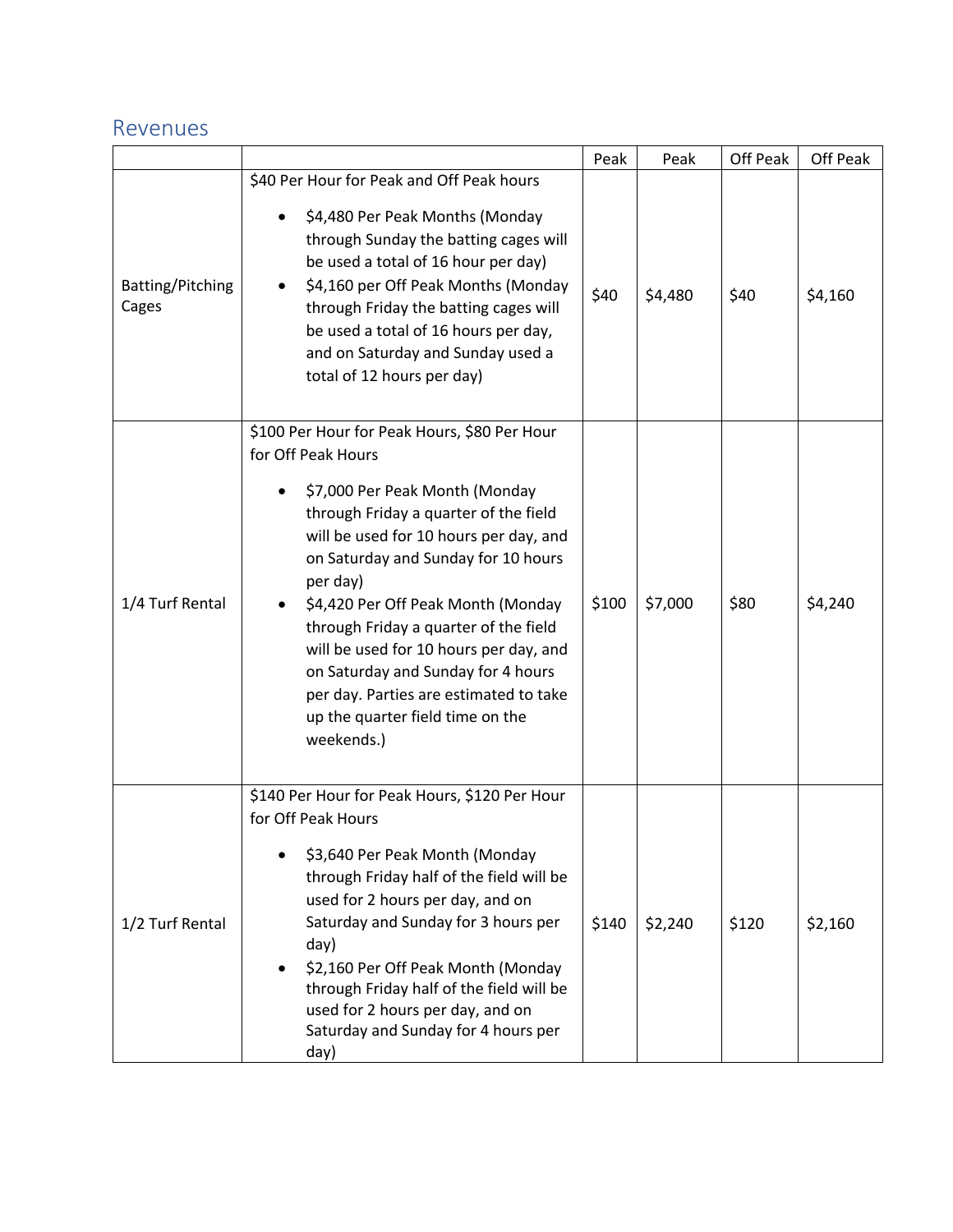#### Revenues

|                           |                                                                                                                                                                                                                                                                                                                                                                                                                                                                                                            | Peak  | Peak    | Off Peak | Off Peak |
|---------------------------|------------------------------------------------------------------------------------------------------------------------------------------------------------------------------------------------------------------------------------------------------------------------------------------------------------------------------------------------------------------------------------------------------------------------------------------------------------------------------------------------------------|-------|---------|----------|----------|
| Batting/Pitching<br>Cages | \$40 Per Hour for Peak and Off Peak hours<br>\$4,480 Per Peak Months (Monday<br>through Sunday the batting cages will<br>be used a total of 16 hour per day)<br>\$4,160 per Off Peak Months (Monday<br>through Friday the batting cages will<br>be used a total of 16 hours per day,<br>and on Saturday and Sunday used a<br>total of 12 hours per day)                                                                                                                                                    | \$40  | \$4,480 | \$40     | \$4,160  |
| 1/4 Turf Rental           | \$100 Per Hour for Peak Hours, \$80 Per Hour<br>for Off Peak Hours<br>\$7,000 Per Peak Month (Monday<br>٠<br>through Friday a quarter of the field<br>will be used for 10 hours per day, and<br>on Saturday and Sunday for 10 hours<br>per day)<br>\$4,420 Per Off Peak Month (Monday<br>through Friday a quarter of the field<br>will be used for 10 hours per day, and<br>on Saturday and Sunday for 4 hours<br>per day. Parties are estimated to take<br>up the quarter field time on the<br>weekends.) | \$100 | \$7,000 | \$80     | \$4,240  |
| 1/2 Turf Rental           | \$140 Per Hour for Peak Hours, \$120 Per Hour<br>for Off Peak Hours<br>\$3,640 Per Peak Month (Monday<br>through Friday half of the field will be<br>used for 2 hours per day, and on<br>Saturday and Sunday for 3 hours per<br>day)<br>\$2,160 Per Off Peak Month (Monday<br>$\bullet$<br>through Friday half of the field will be<br>used for 2 hours per day, and on<br>Saturday and Sunday for 4 hours per<br>day)                                                                                     | \$140 | \$2,240 | \$120    | \$2,160  |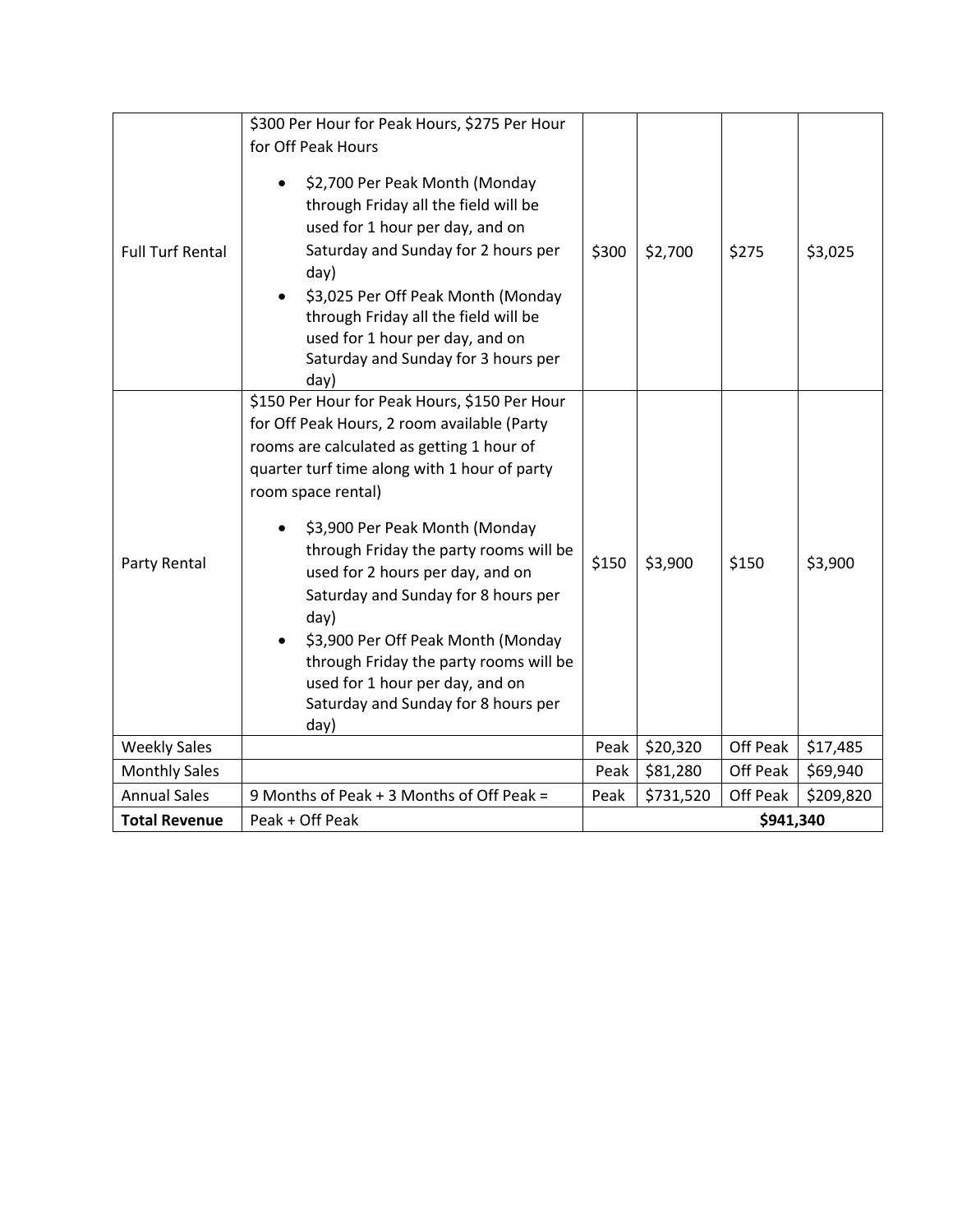|                         | \$300 Per Hour for Peak Hours, \$275 Per Hour<br>for Off Peak Hours                                                                                                                                                                                                                                                           |           |           |          |           |
|-------------------------|-------------------------------------------------------------------------------------------------------------------------------------------------------------------------------------------------------------------------------------------------------------------------------------------------------------------------------|-----------|-----------|----------|-----------|
| <b>Full Turf Rental</b> | \$2,700 Per Peak Month (Monday<br>through Friday all the field will be<br>used for 1 hour per day, and on<br>Saturday and Sunday for 2 hours per<br>day)<br>\$3,025 Per Off Peak Month (Monday<br>through Friday all the field will be<br>used for 1 hour per day, and on<br>Saturday and Sunday for 3 hours per<br>day)      | \$300     | \$2,700   | \$275    | \$3,025   |
|                         | \$150 Per Hour for Peak Hours, \$150 Per Hour<br>for Off Peak Hours, 2 room available (Party<br>rooms are calculated as getting 1 hour of<br>quarter turf time along with 1 hour of party<br>room space rental)                                                                                                               |           |           |          |           |
| Party Rental            | \$3,900 Per Peak Month (Monday<br>through Friday the party rooms will be<br>used for 2 hours per day, and on<br>Saturday and Sunday for 8 hours per<br>day)<br>\$3,900 Per Off Peak Month (Monday<br>through Friday the party rooms will be<br>used for 1 hour per day, and on<br>Saturday and Sunday for 8 hours per<br>day) | \$150     | \$3,900   | \$150    | \$3,900   |
| <b>Weekly Sales</b>     |                                                                                                                                                                                                                                                                                                                               | Peak      | \$20,320  | Off Peak | \$17,485  |
| <b>Monthly Sales</b>    |                                                                                                                                                                                                                                                                                                                               | Peak      | \$81,280  | Off Peak | \$69,940  |
| <b>Annual Sales</b>     | 9 Months of Peak + 3 Months of Off Peak =                                                                                                                                                                                                                                                                                     | Peak      | \$731,520 | Off Peak | \$209,820 |
| <b>Total Revenue</b>    | Peak + Off Peak                                                                                                                                                                                                                                                                                                               | \$941,340 |           |          |           |